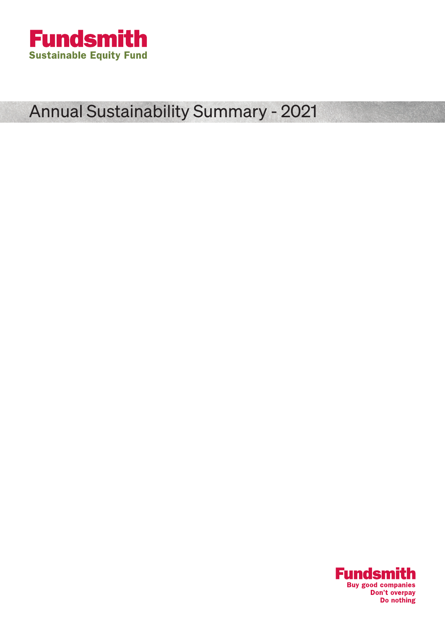

# Annual Sustainability Summary - 2021

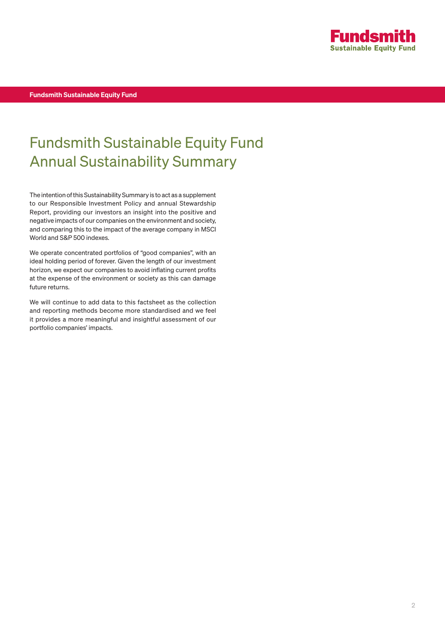

Fundsmith Sustainable Equity Fund

## Fundsmith Sustainable Equity Fund Annual Sustainability Summary

The intention of this Sustainability Summary is to act as a supplement to our Responsible Investment Policy and annual Stewardship Report, providing our investors an insight into the positive and negative impacts of our companies on the environment and society, and comparing this to the impact of the average company in MSCI World and S&P 500 indexes.

We operate concentrated portfolios of "good companies", with an ideal holding period of forever. Given the length of our investment horizon, we expect our companies to avoid inflating current profits at the expense of the environment or society as this can damage future returns.

We will continue to add data to this factsheet as the collection and reporting methods become more standardised and we feel it provides a more meaningful and insightful assessment of our portfolio companies' impacts.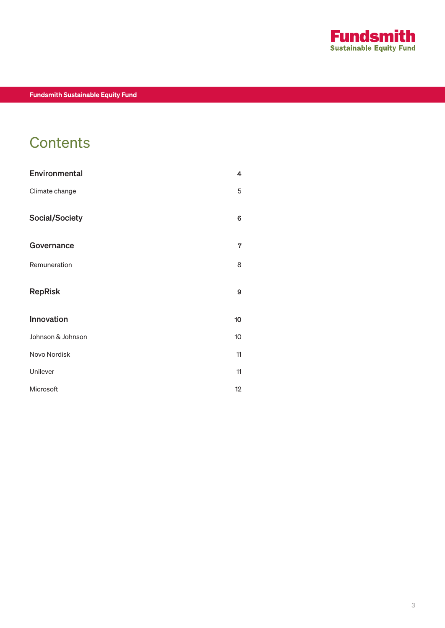

## **Contents**

| Environmental     | 4  |
|-------------------|----|
| Climate change    | 5  |
| Social/Society    | 6  |
| Governance        | 7  |
| Remuneration      | 8  |
| <b>RepRisk</b>    | 9  |
| Innovation        | 10 |
| Johnson & Johnson | 10 |
| Novo Nordisk      | 11 |
| Unilever          | 11 |
| Microsoft         | 12 |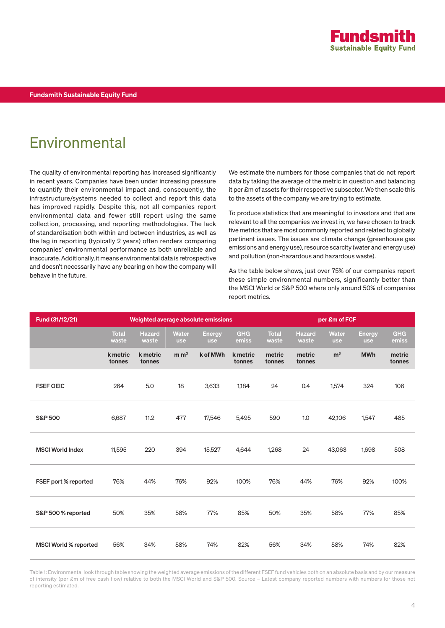

### Environmental

The quality of environmental reporting has increased significantly in recent years. Companies have been under increasing pressure to quantify their environmental impact and, consequently, the infrastructure/systems needed to collect and report this data has improved rapidly. Despite this, not all companies report environmental data and fewer still report using the same collection, processing, and reporting methodologies. The lack of standardisation both within and between industries, as well as the lag in reporting (typically 2 years) often renders comparing companies' environmental performance as both unreliable and inaccurate. Additionally, it means environmental data is retrospective and doesn't necessarily have any bearing on how the company will behave in the future.

We estimate the numbers for those companies that do not report data by taking the average of the metric in question and balancing it per £m of assets for their respective subsector. We then scale this to the assets of the company we are trying to estimate.

To produce statistics that are meaningful to investors and that are relevant to all the companies we invest in, we have chosen to track five metrics that are most commonly reported and related to globally pertinent issues. The issues are climate change (greenhouse gas emissions and energy use), resource scarcity (water and energy use) and pollution (non-hazardous and hazardous waste).

As the table below shows, just over 75% of our companies report these simple environmental numbers, significantly better than the MSCI World or S&P 500 where only around 50% of companies report metrics.

| Fund (31/12/21)              | Weighted average absolute emissions |                        |                            |                             | per £m of FCF       |                       |                        |                            |                             |                     |
|------------------------------|-------------------------------------|------------------------|----------------------------|-----------------------------|---------------------|-----------------------|------------------------|----------------------------|-----------------------------|---------------------|
|                              | <b>Total</b><br>waste               | <b>Hazard</b><br>waste | <b>Water</b><br><b>use</b> | <b>Energy</b><br><b>use</b> | <b>GHG</b><br>emiss | <b>Total</b><br>waste | <b>Hazard</b><br>waste | <b>Water</b><br><b>use</b> | <b>Energy</b><br><b>use</b> | <b>GHG</b><br>emiss |
|                              | k metric<br>tonnes                  | k metric<br>tonnes     | m m <sup>3</sup>           | k of MWh                    | k metric<br>tonnes  | metric<br>tonnes      | metric<br>tonnes       | m <sup>3</sup>             | <b>MWh</b>                  | metric<br>tonnes    |
| <b>FSEF OEIC</b>             | 264                                 | 5.0                    | 18                         | 3,633                       | 1,184               | 24                    | 0.4                    | 1,574                      | 324                         | 106                 |
| <b>S&amp;P 500</b>           | 6,687                               | 11.2                   | 477                        | 17,546                      | 5,495               | 590                   | 1.0                    | 42,106                     | 1,547                       | 485                 |
| <b>MSCI World Index</b>      | 11,595                              | 220                    | 394                        | 15,527                      | 4,644               | 1,268                 | 24                     | 43,063                     | 1,698                       | 508                 |
| FSEF port % reported         | 76%                                 | 44%                    | 76%                        | 92%                         | 100%                | 76%                   | 44%                    | 76%                        | 92%                         | 100%                |
| S&P 500 % reported           | 50%                                 | 35%                    | 58%                        | 77%                         | 85%                 | 50%                   | 35%                    | 58%                        | 77%                         | 85%                 |
| <b>MSCI World % reported</b> | 56%                                 | 34%                    | 58%                        | 74%                         | 82%                 | 56%                   | 34%                    | 58%                        | 74%                         | 82%                 |

Table 1: Environmental look through table showing the weighted average emissions of the different FSEF fund vehicles both on an absolute basis and by our measure of intensity (per £m of free cash flow) relative to both the MSCI World and S&P 500. Source – Latest company reported numbers with numbers for those not reporting estimated.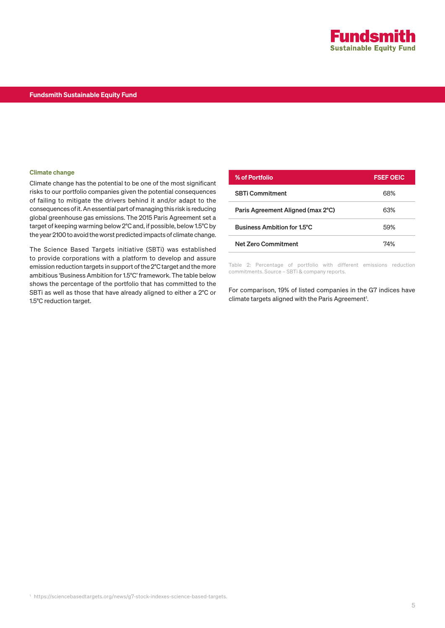

#### Fundsmith Sustainable Equity Fund

#### Climate change

Climate change has the potential to be one of the most significant risks to our portfolio companies given the potential consequences of failing to mitigate the drivers behind it and/or adapt to the consequences of it. An essential part of managing this risk is reducing global greenhouse gas emissions. The 2015 Paris Agreement set a target of keeping warming below 2°C and, if possible, below 1.5°C by the year 2100 to avoid the worst predicted impacts of climate change.

The Science Based Targets initiative (SBTi) was established to provide corporations with a platform to develop and assure emission reduction targets in support of the 2°C target and the more ambitious 'Business Ambition for 1.5°C' framework. The table below shows the percentage of the portfolio that has committed to the SBTi as well as those that have already aligned to either a 2°C or 1.5°C reduction target.

| % of Portfolio                    | <b>FSEF OEIC</b> |
|-----------------------------------|------------------|
| <b>SBTi Commitment</b>            | 68%              |
| Paris Agreement Aligned (max 2°C) | 63%              |
| Business Ambition for 1.5°C       | 59%              |
| <b>Net Zero Commitment</b>        | 74%              |
|                                   |                  |

Table 2: Percentage of portfolio with different emissions reduction commitments. Source – SBTi & company reports.

For comparison, 19% of listed companies in the G7 indices have climate targets aligned with the Paris Agreement<sup>1</sup>.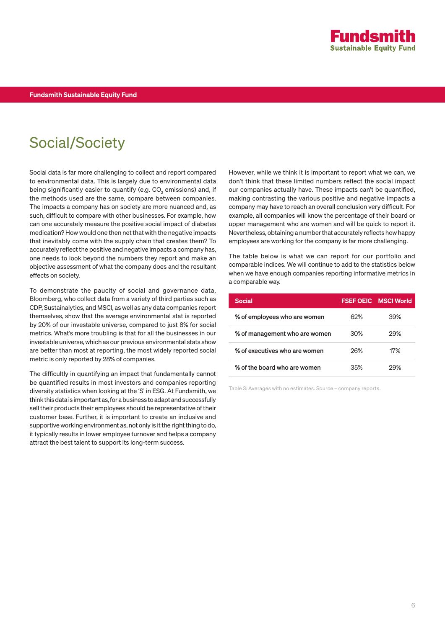

### Social/Society

Social data is far more challenging to collect and report compared to environmental data. This is largely due to environmental data being significantly easier to quantify (e.g. CO $_{\textrm{\tiny{2}}}$  emissions) and, if the methods used are the same, compare between companies. The impacts a company has on society are more nuanced and, as such, difficult to compare with other businesses. For example, how can one accurately measure the positive social impact of diabetes medication? How would one then net that with the negative impacts that inevitably come with the supply chain that creates them? To accurately reflect the positive and negative impacts a company has, one needs to look beyond the numbers they report and make an objective assessment of what the company does and the resultant effects on society.

To demonstrate the paucity of social and governance data, Bloomberg, who collect data from a variety of third parties such as CDP, Sustainalytics, and MSCI, as well as any data companies report themselves, show that the average environmental stat is reported by 20% of our investable universe, compared to just 8% for social metrics. What's more troubling is that for all the businesses in our investable universe, which as our previous environmental stats show are better than most at reporting, the most widely reported social metric is only reported by 28% of companies.

The difficultly in quantifying an impact that fundamentally cannot be quantified results in most investors and companies reporting diversity statistics when looking at the 'S' in ESG. At Fundsmith, we think this data is important as, for a business to adapt and successfully sell their products their employees should be representative of their customer base. Further, it is important to create an inclusive and supportive working environment as, not only is it the right thing to do, it typically results in lower employee turnover and helps a company attract the best talent to support its long-term success.

However, while we think it is important to report what we can, we don't think that these limited numbers reflect the social impact our companies actually have. These impacts can't be quantified, making contrasting the various positive and negative impacts a company may have to reach an overall conclusion very difficult. For example, all companies will know the percentage of their board or upper management who are women and will be quick to report it. Nevertheless, obtaining a number that accurately reflects how happy employees are working for the company is far more challenging.

The table below is what we can report for our portfolio and comparable indices. We will continue to add to the statistics below when we have enough companies reporting informative metrics in a comparable way.

| <b>Social</b>                 |     | <b>FSEF OEIC MSCI World</b> |
|-------------------------------|-----|-----------------------------|
| % of employees who are women  | 62% | 39%                         |
| % of management who are women | 30% | 29%                         |
| % of executives who are women | 26% | 17%                         |
| % of the board who are women  | 35% | 29%                         |

Table 3: Averages with no estimates. Source – company reports.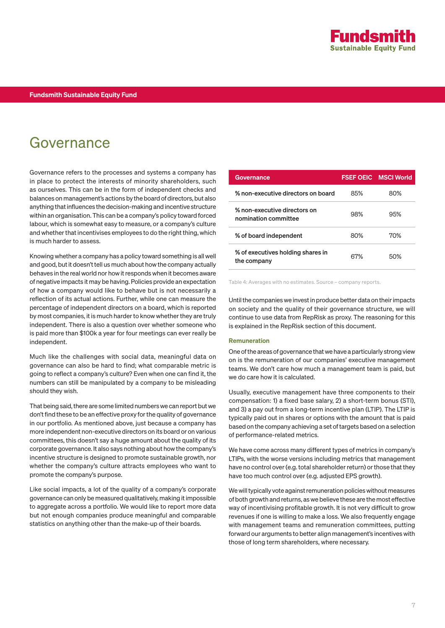### Governance

Governance refers to the processes and systems a company has in place to protect the interests of minority shareholders, such as ourselves. This can be in the form of independent checks and balances on management's actions by the board of directors, but also anything that influences the decision-making and incentive structure within an organisation. This can be a company's policy toward forced labour, which is somewhat easy to measure, or a company's culture and whether that incentivises employees to do the right thing, which is much harder to assess.

Knowing whether a company has a policy toward something is all well and good, but it doesn't tell us much about how the company actually behaves in the real world nor how it responds when it becomes aware of negative impacts it may be having. Policies provide an expectation of how a company would like to behave but is not necessarily a reflection of its actual actions. Further, while one can measure the percentage of independent directors on a board, which is reported by most companies, it is much harder to know whether they are truly independent. There is also a question over whether someone who is paid more than \$100k a year for four meetings can ever really be independent.

Much like the challenges with social data, meaningful data on governance can also be hard to find; what comparable metric is going to reflect a company's culture? Even when one can find it, the numbers can still be manipulated by a company to be misleading should they wish.

That being said, there are some limited numbers we can report but we don't find these to be an effective proxy for the quality of governance in our portfolio. As mentioned above, just because a company has more independent non-executive directors on its board or on various committees, this doesn't say a huge amount about the quality of its corporate governance. It also says nothing about how the company's incentive structure is designed to promote sustainable growth, nor whether the company's culture attracts employees who want to promote the company's purpose.

Like social impacts, a lot of the quality of a company's corporate governance can only be measured qualitatively, making it impossible to aggregate across a portfolio. We would like to report more data but not enough companies produce meaningful and comparable statistics on anything other than the make-up of their boards.

| Governance                                           |     | <b>FSEF OEIC MSCI World</b> |
|------------------------------------------------------|-----|-----------------------------|
| % non-executive directors on board                   | 85% | 80%                         |
| % non-executive directors on<br>nomination committee | 98% | 95%                         |
| % of board independent                               | 80% | 70%                         |
| % of executives holding shares in<br>the company     | 67% | 50%                         |

Table 4: Averages with no estimates. Source – company reports.

Until the companies we invest in produce better data on their impacts on society and the quality of their governance structure, we will continue to use data from RepRisk as proxy. The reasoning for this is explained in the RepRisk section of this document.

#### Remuneration

One of the areas of governance that we have a particularly strong view on is the remuneration of our companies' executive management teams. We don't care how much a management team is paid, but we do care how it is calculated.

Usually, executive management have three components to their compensation: 1) a fixed base salary, 2) a short-term bonus (STI), and 3) a pay out from a long-term incentive plan (LTIP). The LTIP is typically paid out in shares or options with the amount that is paid based on the company achieving a set of targets based on a selection of performance-related metrics.

We have come across many different types of metrics in company's LTIPs, with the worse versions including metrics that management have no control over (e.g. total shareholder return) or those that they have too much control over (e.g. adjusted EPS growth).

We will typically vote against remuneration policies without measures of both growth and returns, as we believe these are the most effective way of incentivising profitable growth. It is not very difficult to grow revenues if one is willing to make a loss. We also frequently engage with management teams and remuneration committees, putting forward our arguments to better align management's incentives with those of long term shareholders, where necessary.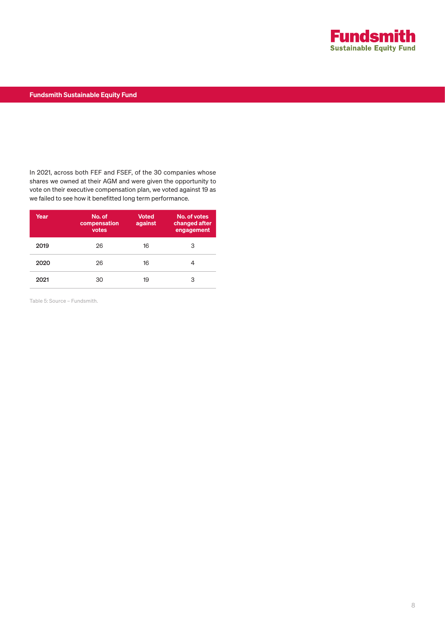

#### Fundsmith Sustainable Equity Fund

In 2021, across both FEF and FSEF, of the 30 companies whose shares we owned at their AGM and were given the opportunity to vote on their executive compensation plan, we voted against 19 as we failed to see how it benefitted long term performance.

| Year | No. of<br>compensation<br>votes | <b>Voted</b><br>against | No. of votes<br>changed after<br>engagement |
|------|---------------------------------|-------------------------|---------------------------------------------|
| 2019 | 26                              | 16                      | 3                                           |
| 2020 | 26                              | 16                      |                                             |
| 2021 | 30                              | 19                      | З                                           |

Table 5: Source – Fundsmith.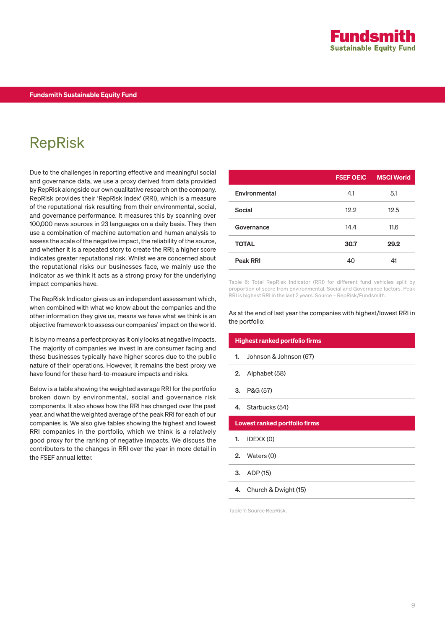

## RepRisk

Due to the challenges in reporting effective and meaningful social and governance data, we use a proxy derived from data provided by RepRisk alongside our own qualitative research on the company. RepRisk provides their 'RepRisk Index' (RRI), which is a measure of the reputational risk resulting from their environmental, social, and governance performance. It measures this by scanning over 100,000 news sources in 23 languages on a daily basis. They then use a combination of machine automation and human analysis to assess the scale of the negative impact, the reliability of the source, and whether it is a repeated story to create the RRI; a higher score indicates greater reputational risk. Whilst we are concerned about the reputational risks our businesses face, we mainly use the indicator as we think it acts as a strong proxy for the underlying impact companies have.

The RepRisk Indicator gives us an independent assessment which, when combined with what we know about the companies and the other information they give us, means we have what we think is an objective framework to assess our companies' impact on the world.

It is by no means a perfect proxy as it only looks at negative impacts. The majority of companies we invest in are consumer facing and these businesses typically have higher scores due to the public nature of their operations. However, it remains the best proxy we have found for these hard-to-measure impacts and risks.

Below is a table showing the weighted average RRI for the portfolio broken down by environmental, social and governance risk components. It also shows how the RRI has changed over the past year, and what the weighted average of the peak RRI for each of our companies is. We also give tables showing the highest and lowest RRI companies in the portfolio, which we think is a relatively good proxy for the ranking of negative impacts. We discuss the contributors to the changes in RRI over the year in more detail in the FSEF annual letter.

|               | <b>FSEF OEIC</b> | <b>MSCI World</b> |
|---------------|------------------|-------------------|
| Environmental | 4.1              | 5.1               |
| Social        | 12.2             | 12.5              |
| Governance    | 14.4             | 11.6              |
| <b>TOTAL</b>  | 30.7             | 29.2              |
| Peak RRI      | 40               | 41                |

Table 6: Total RepRisk Indicator (RRI) for different fund vehicles split by proportion of score from Environmental, Social and Governance factors. Peak RRI is highest RRI in the last 2 years. Source – RepRisk/Fundsmith.

As at the end of last year the companies with highest/lowest RRI in the portfolio:

|    | Highest ranked portfolio firms       |
|----|--------------------------------------|
| 1. | Johnson & Johnson (67)               |
| 2. | Alphabet (58)                        |
| 3. | P&G (57)                             |
| 4. | Starbucks (54)                       |
|    | <b>Lowest ranked portfolio firms</b> |
| 1. | IDEXX(0)                             |
| 2. | Waters (0)                           |
| 3. | ADP (15)                             |

4. Church & Dwight (15)

Table 7: Source RepRisk.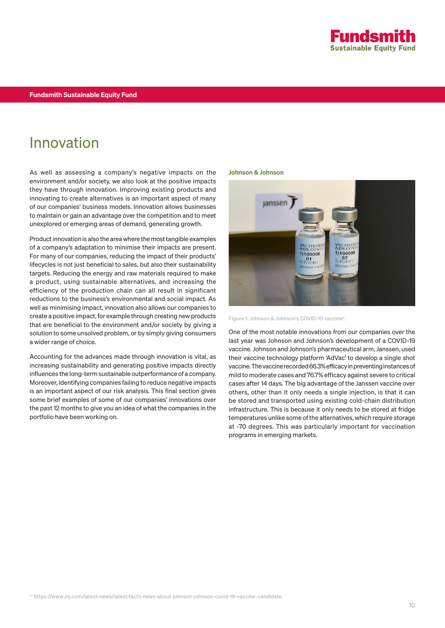

### Innovation

As well as assessing a company's negative impacts on the environment and/or society, we also look at the positive impacts they have through innovation. Improving existing products and innovating to create alternatives is an important aspect of many of our companies' business models. Innovation allows businesses to maintain or gain an advantage over the competition and to meet unexplored or emerging areas of demand, generating growth.

Product innovation is also the area where the most tangible examples of a company's adaptation to minimise their impacts are present. For many of our companies, reducing the impact of their products' lifecycles is not just beneficial to sales, but also their sustainability targets. Reducing the energy and raw materials required to make a product, using sustainable alternatives, and increasing the efficiency of the production chain can all result in significant reductions to the business's environmental and social impact. As well as minimising impact, innovation also allows our companies to create a positive impact, for example through creating new products that are beneficial to the environment and/or society by giving a solution to some unsolved problem, or by simply giving consumers a wider range of choice.

Accounting for the advances made through innovation is vital, as increasing sustainability and generating positive impacts directly influences the long-term sustainable outperformance of a company. Moreover, identifying companies failing to reduce negative impacts is an important aspect of our risk analysis. This final section gives some brief examples of some of our companies' innovations over the past 12 months to give you an idea of what the companies in the portfolio have been working on.

#### Johnson & Johnson



Figure 1: Johnson & Johnson's COVID-19 vaccine2.

One of the most notable innovations from our companies over the last year was Johnson and Johnson's development of a COVID-19 vaccine. Johnson and Johnson's pharmaceutical arm, Janssen, used their vaccine technology platform 'AdVac' to develop a single shot vaccine. The vaccine recorded 66.3% efficacy in preventing instances of mild to moderate cases and 76.7% efficacy against severe to critical cases after 14 days. The big advantage of the Janssen vaccine over others, other than it only needs a single injection, is that it can be stored and transported using existing cold-chain distribution infrastructure. This is because it only needs to be stored at fridge temperatures unlike some of the alternatives, which require storage at -70 degrees. This was particularly important for vaccination programs in emerging markets.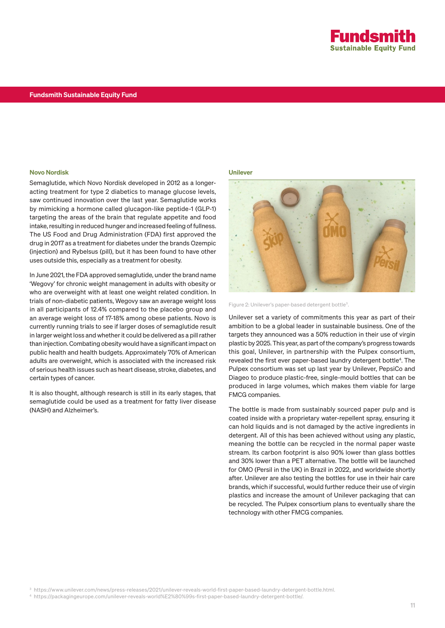

#### Novo Nordisk

Semaglutide, which Novo Nordisk developed in 2012 as a longeracting treatment for type 2 diabetics to manage glucose levels, saw continued innovation over the last year. Semaglutide works by mimicking a hormone called glucagon-like peptide-1 (GLP-1) targeting the areas of the brain that regulate appetite and food intake, resulting in reduced hunger and increased feeling of fullness. The US Food and Drug Administration (FDA) first approved the drug in 2017 as a treatment for diabetes under the brands Ozempic (injection) and Rybelsus (pill), but it has been found to have other uses outside this, especially as a treatment for obesity.

In June 2021, the FDA approved semaglutide, under the brand name 'Wegovy' for chronic weight management in adults with obesity or who are overweight with at least one weight related condition. In trials of non-diabetic patients, Wegovy saw an average weight loss in all participants of 12.4% compared to the placebo group and an average weight loss of 17-18% among obese patients. Novo is currently running trials to see if larger doses of semaglutide result in larger weight loss and whether it could be delivered as a pill rather than injection. Combating obesity would have a significant impact on public health and health budgets. Approximately 70% of American adults are overweight, which is associated with the increased risk of serious health issues such as heart disease, stroke, diabetes, and certain types of cancer.

It is also thought, although research is still in its early stages, that semaglutide could be used as a treatment for fatty liver disease (NASH) and Alzheimer's.

#### Unilever



Figure 2: Unilever's paper-based detergent bottle3.

Unilever set a variety of commitments this year as part of their ambition to be a global leader in sustainable business. One of the targets they announced was a 50% reduction in their use of virgin plastic by 2025. This year, as part of the company's progress towards this goal, Unilever, in partnership with the Pulpex consortium, revealed the first ever paper-based laundry detergent bottle<sup>4</sup>. The Pulpex consortium was set up last year by Unilever, PepsiCo and Diageo to produce plastic-free, single-mould bottles that can be produced in large volumes, which makes them viable for large FMCG companies.

The bottle is made from sustainably sourced paper pulp and is coated inside with a proprietary water-repellent spray, ensuring it can hold liquids and is not damaged by the active ingredients in detergent. All of this has been achieved without using any plastic, meaning the bottle can be recycled in the normal paper waste stream. Its carbon footprint is also 90% lower than glass bottles and 30% lower than a PET alternative. The bottle will be launched for OMO (Persil in the UK) in Brazil in 2022, and worldwide shortly after. Unilever are also testing the bottles for use in their hair care brands, which if successful, would further reduce their use of virgin plastics and increase the amount of Unilever packaging that can be recycled. The Pulpex consortium plans to eventually share the technology with other FMCG companies.

<sup>3</sup> https://www.unilever.com/news/press-releases/2021/unilever-reveals-world-first-paper-based-laundry-detergent-bottle.html.

<sup>4</sup> https://packagingeurope.com/unilever-reveals-world%E2%80%99s-first-paper-based-laundry-detergent-bottle/.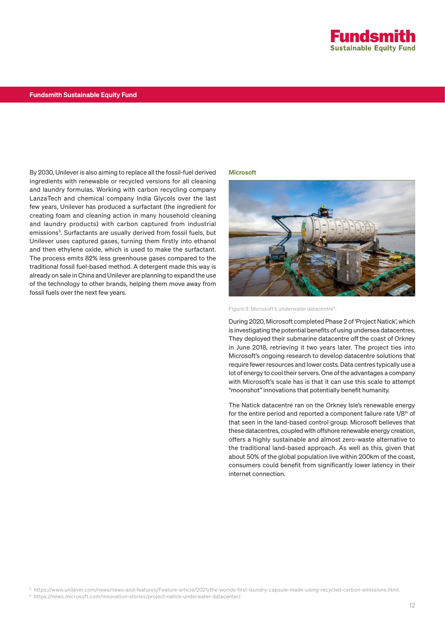

By 2030, Unilever is also aiming to replace all the fossil-fuel derived ingredients with renewable or recycled versions for all cleaning and laundry formulas. Working with carbon recycling company LanzaTech and chemical company India Glycols over the last few years, Unilever has produced a surfactant (the ingredient for creating foam and cleaning action in many household cleaning and laundry products) with carbon captured from industrial emissions<sup>5</sup>. Surfactants are usually derived from fossil fuels, but Unilever uses captured gases, turning them firstly into ethanol and then ethylene oxide, which is used to make the surfactant. The process emits 82% less greenhouse gases compared to the traditional fossil fuel-based method. A detergent made this way is already on sale in China and Unilever are planning to expand the use of the technology to other brands, helping them move away from fossil fuels over the next few years.

#### **Microsoft**



Figure 3: Microsoft's underwater datacentre<sup>6</sup>.

During 2020, Microsoft completed Phase 2 of 'Project Natick', which is investigating the potential benefits of using undersea datacentres. They deployed their submarine datacentre off the coast of Orkney in June 2018, retrieving it two years later. The project ties into Microsoft's ongoing research to develop datacentre solutions that require fewer resources and lower costs. Data centres typically use a lot of energy to cool their servers. One of the advantages a company with Microsoft's scale has is that it can use this scale to attempt "moonshot" innovations that potentially benefit humanity.

The Natick datacentre ran on the Orkney Isle's renewable energy for the entire period and reported a component failure rate 1/8<sup>th</sup> of that seen in the land-based control group. Microsoft believes that these datacentres, coupled with offshore renewable energy creation, offers a highly sustainable and almost zero-waste alternative to the traditional land-based approach. As well as this, given that about 50% of the global population live within 200km of the coast, consumers could benefit from significantly lower latency in their internet connection.

<sup>5</sup> https://www.unilever.com/news/news-and-features/Feature-article/2021/the-worlds-first-laundry-capsule-made-using-recycled-carbon-emissions.html.

<sup>6</sup> https://news.microsoft.com/innovation-stories/project-natick-underwater-datacenter/.